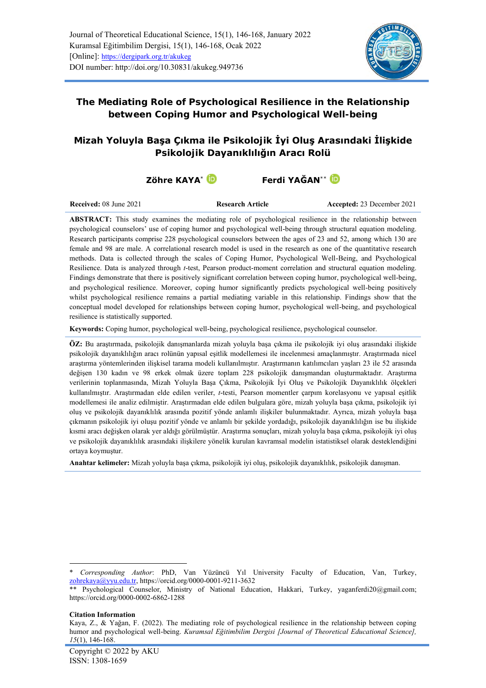

# **The Mediating Role of Psychological Resilience in the Relationship between Coping Humor and Psychological Well-being**

# **Mizah Yoluyla Başa Çıkma ile Psikolojik İyi Oluş Arasındaki İlişkide Psikolojik Dayanıklılığın Aracı Rolü**

# **Zöhre KAYA**\* **Ferdi YAĞAN**\*\*

**Received:** 08 June 2021 **Research Article Accepted: 23 December 2021** 

**ABSTRACT:** This study examines the mediating role of psychological resilience in the relationship between psychological counselors' use of coping humor and psychological well-being through structural equation modeling. Research participants comprise 228 psychological counselors between the ages of 23 and 52, among which 130 are female and 98 are male. A correlational research model is used in the research as one of the quantitative research methods. Data is collected through the scales of Coping Humor, Psychological Well-Being, and Psychological Resilience. Data is analyzed through *t*-test, Pearson product-moment correlation and structural equation modeling. Findings demonstrate that there is positively significant correlation between coping humor, psychological well-being, and psychological resilience. Moreover, coping humor significantly predicts psychological well-being positively whilst psychological resilience remains a partial mediating variable in this relationship. Findings show that the conceptual model developed for relationships between coping humor, psychological well-being, and psychological resilience is statistically supported.

**Keywords:** Coping humor, psychological well-being, psychological resilience, psychological counselor.

**ÖZ:** Bu araştırmada, psikolojik danışmanlarda mizah yoluyla başa çıkma ile psikolojik iyi oluş arasındaki ilişkide psikolojik dayanıklılığın aracı rolünün yapısal eşitlik modellemesi ile incelenmesi amaçlanmıştır. Araştırmada nicel araştırma yöntemlerinden ilişkisel tarama modeli kullanılmıştır. Araştırmanın katılımcıları yaşları 23 ile 52 arasında değişen 130 kadın ve 98 erkek olmak üzere toplam 228 psikolojik danışmandan oluşturmaktadır. Araştırma verilerinin toplanmasında, Mizah Yoluyla Başa Çıkma, Psikolojik İyi Oluş ve Psikolojik Dayanıklılık ölçekleri kullanılmıştır. Araştırmadan elde edilen veriler, *t*-testi, Pearson momentler çarpım korelasyonu ve yapısal eşitlik modellemesi ile analiz edilmiştir. Araştırmadan elde edilen bulgulara göre, mizah yoluyla başa çıkma, psikolojik iyi oluş ve psikolojik dayanıklılık arasında pozitif yönde anlamlı ilişkiler bulunmaktadır. Ayrıca, mizah yoluyla başa çıkmanın psikolojik iyi oluşu pozitif yönde ve anlamlı bir şekilde yordadığı, psikolojik dayanıklılığın ise bu ilişkide kısmi aracı değişken olarak yer aldığı görülmüştür. Araştırma sonuçları, mizah yoluyla başa çıkma, psikolojik iyi oluş ve psikolojik dayanıklılık arasındaki ilişkilere yönelik kurulan kavramsal modelin istatistiksel olarak desteklendiğini ortaya koymuştur.

**Anahtar kelimeler:** Mizah yoluyla başa çıkma, psikolojik iyi oluş, psikolojik dayanıklılık, psikolojik danışman.

<sup>\*</sup> *Corresponding Author*: PhD, Van Yüzüncü Yıl University Faculty of Education, Van, Turkey, [zohrekaya@yyu.edu.tr,](mailto:zohrekaya@yyu.edu.tr)<https://orcid.org/0000-0001-9211-3632>

<sup>\*\*</sup> Psychological Counselor, Ministry of National Education, Hakkari, Turkey, [yaganferdi20@gmail.com;](mailto:yaganferdi20@gmail.com) <https://orcid.org/0000-0002-6862-1288>

**Citation Information**

Kaya, Z., & Yağan, F. (2022). The mediating role of psychological resilience in the relationship between coping humor and psychological well-being. *Kuramsal Eğitimbilim Dergisi [Journal of Theoretical Educational Science], 15*(1), 146-168.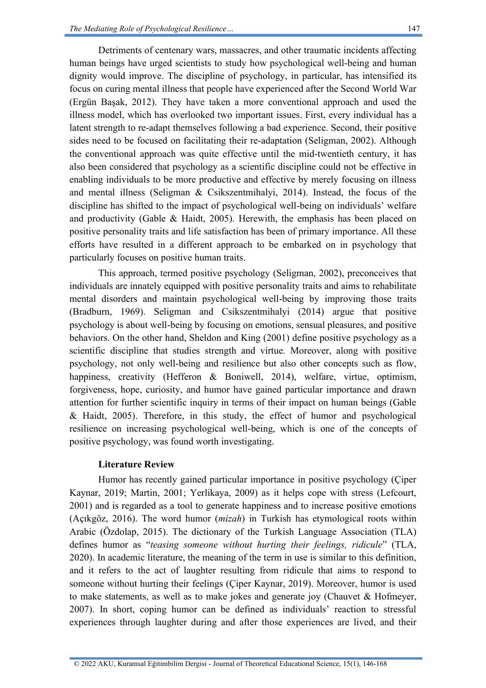Detriments of centenary wars, massacres, and other traumatic incidents affecting human beings have urged scientists to study how psychological well-being and human dignity would improve. The discipline of psychology, in particular, has intensified its focus on curing mental illness that people have experienced after the Second World War (Ergün Başak, 2012). They have taken a more conventional approach and used the illness model, which has overlooked two important issues. First, every individual has a latent strength to re-adapt themselves following a bad experience. Second, their positive sides need to be focused on facilitating their re-adaptation (Seligman, 2002). Although the conventional approach was quite effective until the mid-twentieth century, it has also been considered that psychology as a scientific discipline could not be effective in enabling individuals to be more productive and effective by merely focusing on illness and mental illness (Seligman & Csikszentmihalyi, 2014). Instead, the focus of the discipline has shifted to the impact of psychological well-being on individuals' welfare and productivity (Gable & Haidt, 2005). Herewith, the emphasis has been placed on positive personality traits and life satisfaction has been of primary importance. All these efforts have resulted in a different approach to be embarked on in psychology that particularly focuses on positive human traits.

This approach, termed positive psychology (Seligman, 2002), preconceives that individuals are innately equipped with positive personality traits and aims to rehabilitate mental disorders and maintain psychological well-being by improving those traits (Bradburn, 1969). Seligman and Csikszentmihalyi (2014) argue that positive psychology is about well-being by focusing on emotions, sensual pleasures, and positive behaviors. On the other hand, Sheldon and King (2001) define positive psychology as a scientific discipline that studies strength and virtue. Moreover, along with positive psychology, not only well-being and resilience but also other concepts such as flow, happiness, creativity (Hefferon & Boniwell, 2014), welfare, virtue, optimism, forgiveness, hope, curiosity, and humor have gained particular importance and drawn attention for further scientific inquiry in terms of their impact on human beings (Gable & Haidt, 2005). Therefore, in this study, the effect of humor and psychological resilience on increasing psychological well-being, which is one of the concepts of positive psychology, was found worth investigating.

# **Literature Review**

Humor has recently gained particular importance in positive psychology (Çiper Kaynar, 2019; Martin, 2001; Yerlikaya, 2009) as it helps cope with stress (Lefcourt, 2001) and is regarded as a tool to generate happiness and to increase positive emotions (Açıkgöz, 2016). The word humor (*mizah*) in Turkish has etymological roots within Arabic (Özdolap, 2015). The dictionary of the Turkish Language Association (TLA) defines humor as "*teasing someone without hurting their feelings, ridicule*" (TLA, 2020). In academic literature, the meaning of the term in use is similar to this definition, and it refers to the act of laughter resulting from ridicule that aims to respond to someone without hurting their feelings (Çiper Kaynar, 2019). Moreover, humor is used to make statements, as well as to make jokes and generate joy (Chauvet  $\&$  Hofmeyer, 2007). In short, coping humor can be defined as individuals' reaction to stressful experiences through laughter during and after those experiences are lived, and their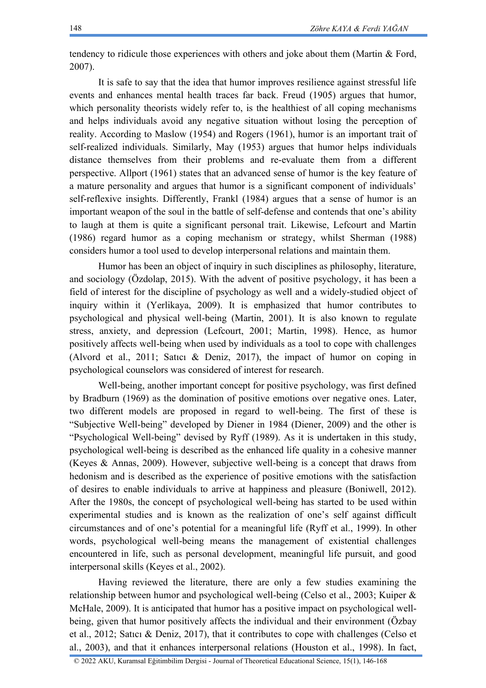tendency to ridicule those experiences with others and joke about them (Martin & Ford, 2007).

It is safe to say that the idea that humor improves resilience against stressful life events and enhances mental health traces far back. Freud (1905) argues that humor, which personality theorists widely refer to, is the healthiest of all coping mechanisms and helps individuals avoid any negative situation without losing the perception of reality. According to Maslow (1954) and Rogers (1961), humor is an important trait of self-realized individuals. Similarly, May (1953) argues that humor helps individuals distance themselves from their problems and re-evaluate them from a different perspective. Allport (1961) states that an advanced sense of humor is the key feature of a mature personality and argues that humor is a significant component of individuals' self-reflexive insights. Differently, Frankl (1984) argues that a sense of humor is an important weapon of the soul in the battle of self-defense and contends that one's ability to laugh at them is quite a significant personal trait. Likewise, Lefcourt and Martin (1986) regard humor as a coping mechanism or strategy, whilst Sherman (1988) considers humor a tool used to develop interpersonal relations and maintain them.

Humor has been an object of inquiry in such disciplines as philosophy, literature, and sociology (Özdolap, 2015). With the advent of positive psychology, it has been a field of interest for the discipline of psychology as well and a widely-studied object of inquiry within it (Yerlikaya, 2009). It is emphasized that humor contributes to psychological and physical well-being (Martin, 2001). It is also known to regulate stress, anxiety, and depression (Lefcourt, 2001; Martin, 1998). Hence, as humor positively affects well-being when used by individuals as a tool to cope with challenges (Alvord et al., 2011; Satıcı & Deniz, 2017), the impact of humor on coping in psychological counselors was considered of interest for research.

Well-being, another important concept for positive psychology, was first defined by Bradburn (1969) as the domination of positive emotions over negative ones. Later, two different models are proposed in regard to well-being. The first of these is "Subjective Well-being" developed by Diener in 1984 (Diener, 2009) and the other is "Psychological Well-being" devised by Ryff (1989). As it is undertaken in this study, psychological well-being is described as the enhanced life quality in a cohesive manner (Keyes & Annas, 2009). However, subjective well-being is a concept that draws from hedonism and is described as the experience of positive emotions with the satisfaction of desires to enable individuals to arrive at happiness and pleasure (Boniwell, 2012). After the 1980s, the concept of psychological well-being has started to be used within experimental studies and is known as the realization of one's self against difficult circumstances and of one's potential for a meaningful life (Ryff et al., 1999). In other words, psychological well-being means the management of existential challenges encountered in life, such as personal development, meaningful life pursuit, and good interpersonal skills (Keyes et al., 2002).

Having reviewed the literature, there are only a few studies examining the relationship between humor and psychological well-being (Celso et al., 2003; Kuiper & McHale, 2009). It is anticipated that humor has a positive impact on psychological wellbeing, given that humor positively affects the individual and their environment (Özbay et al., 2012; Satıcı & Deniz, 2017), that it contributes to cope with challenges (Celso et al., 2003), and that it enhances interpersonal relations (Houston et al., 1998). In fact,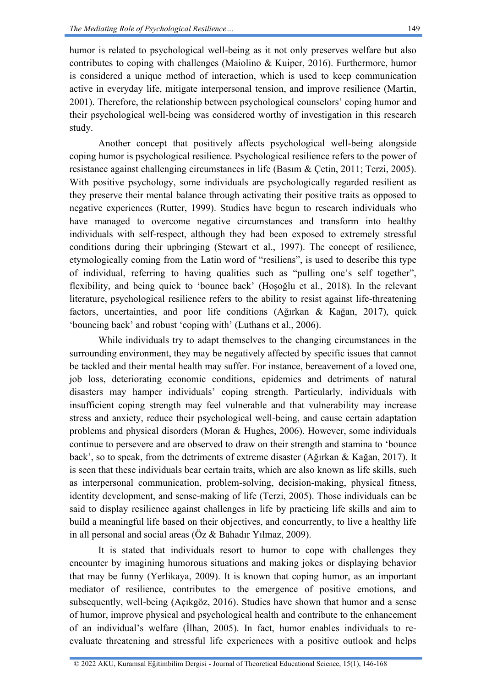humor is related to psychological well-being as it not only preserves welfare but also contributes to coping with challenges (Maiolino & Kuiper, 2016). Furthermore, humor is considered a unique method of interaction, which is used to keep communication active in everyday life, mitigate interpersonal tension, and improve resilience (Martin, 2001). Therefore, the relationship between psychological counselors' coping humor and their psychological well-being was considered worthy of investigation in this research study.

Another concept that positively affects psychological well-being alongside coping humor is psychological resilience. Psychological resilience refers to the power of resistance against challenging circumstances in life (Basım & Çetin, 2011; Terzi, 2005). With positive psychology, some individuals are psychologically regarded resilient as they preserve their mental balance through activating their positive traits as opposed to negative experiences (Rutter, 1999). Studies have begun to research individuals who have managed to overcome negative circumstances and transform into healthy individuals with self-respect, although they had been exposed to extremely stressful conditions during their upbringing (Stewart et al., 1997). The concept of resilience, etymologically coming from the Latin word of "resiliens", is used to describe this type of individual, referring to having qualities such as "pulling one's self together", flexibility, and being quick to 'bounce back' (Hoşoğlu et al., 2018). In the relevant literature, psychological resilience refers to the ability to resist against life-threatening factors, uncertainties, and poor life conditions (Ağırkan & Kağan, 2017), quick 'bouncing back' and robust 'coping with' (Luthans et al., 2006).

While individuals try to adapt themselves to the changing circumstances in the surrounding environment, they may be negatively affected by specific issues that cannot be tackled and their mental health may suffer. For instance, bereavement of a loved one, job loss, deteriorating economic conditions, epidemics and detriments of natural disasters may hamper individuals' coping strength. Particularly, individuals with insufficient coping strength may feel vulnerable and that vulnerability may increase stress and anxiety, reduce their psychological well-being, and cause certain adaptation problems and physical disorders (Moran & Hughes, 2006). However, some individuals continue to persevere and are observed to draw on their strength and stamina to 'bounce back', so to speak, from the detriments of extreme disaster (Ağırkan & Kağan, 2017). It is seen that these individuals bear certain traits, which are also known as life skills, such as interpersonal communication, problem-solving, decision-making, physical fitness, identity development, and sense-making of life (Terzi, 2005). Those individuals can be said to display resilience against challenges in life by practicing life skills and aim to build a meaningful life based on their objectives, and concurrently, to live a healthy life in all personal and social areas (Öz & Bahadır Yılmaz, 2009).

It is stated that individuals resort to humor to cope with challenges they encounter by imagining humorous situations and making jokes or displaying behavior that may be funny (Yerlikaya, 2009). It is known that coping humor, as an important mediator of resilience, contributes to the emergence of positive emotions, and subsequently, well-being (Açıkgöz, 2016). Studies have shown that humor and a sense of humor, improve physical and psychological health and contribute to the enhancement of an individual's welfare (İlhan, 2005). In fact, humor enables individuals to reevaluate threatening and stressful life experiences with a positive outlook and helps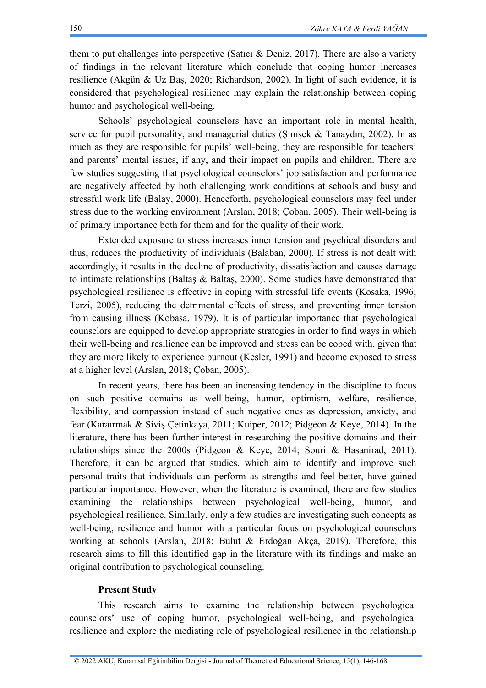them to put challenges into perspective (Satıcı & Deniz, 2017). There are also a variety of findings in the relevant literature which conclude that coping humor increases resilience (Akgün & Uz Baş, 2020; Richardson, 2002). In light of such evidence, it is considered that psychological resilience may explain the relationship between coping humor and psychological well-being.

Schools' psychological counselors have an important role in mental health, service for pupil personality, and managerial duties (Şimşek & Tanaydın, 2002). In as much as they are responsible for pupils' well-being, they are responsible for teachers' and parents' mental issues, if any, and their impact on pupils and children. There are few studies suggesting that psychological counselors' job satisfaction and performance are negatively affected by both challenging work conditions at schools and busy and stressful work life (Balay, 2000). Henceforth, psychological counselors may feel under stress due to the working environment (Arslan, 2018; Çoban, 2005). Their well-being is of primary importance both for them and for the quality of their work.

Extended exposure to stress increases inner tension and psychical disorders and thus, reduces the productivity of individuals (Balaban, 2000). If stress is not dealt with accordingly, it results in the decline of productivity, dissatisfaction and causes damage to intimate relationships (Baltas  $\&$  Baltas, 2000). Some studies have demonstrated that psychological resilience is effective in coping with stressful life events (Kosaka, 1996; Terzi, 2005), reducing the detrimental effects of stress, and preventing inner tension from causing illness (Kobasa, 1979). It is of particular importance that psychological counselors are equipped to develop appropriate strategies in order to find ways in which their well-being and resilience can be improved and stress can be coped with, given that they are more likely to experience burnout (Kesler, 1991) and become exposed to stress at a higher level (Arslan, 2018; Çoban, 2005).

In recent years, there has been an increasing tendency in the discipline to focus on such positive domains as well-being, humor, optimism, welfare, resilience, flexibility, and compassion instead of such negative ones as depression, anxiety, and fear (Karaırmak & Siviş Çetinkaya, 2011; Kuiper, 2012; Pidgeon & Keye, 2014). In the literature, there has been further interest in researching the positive domains and their relationships since the 2000s (Pidgeon & Keye, 2014; Souri & Hasanirad, 2011). Therefore, it can be argued that studies, which aim to identify and improve such personal traits that individuals can perform as strengths and feel better, have gained particular importance. However, when the literature is examined, there are few studies examining the relationships between psychological well-being, humor, and psychological resilience. Similarly, only a few studies are investigating such concepts as well-being, resilience and humor with a particular focus on psychological counselors working at schools (Arslan, 2018; Bulut & Erdoğan Akça, 2019). Therefore, this research aims to fill this identified gap in the literature with its findings and make an original contribution to psychological counseling.

## **Present Study**

This research aims to examine the relationship between psychological counselors' use of coping humor, psychological well-being, and psychological resilience and explore the mediating role of psychological resilience in the relationship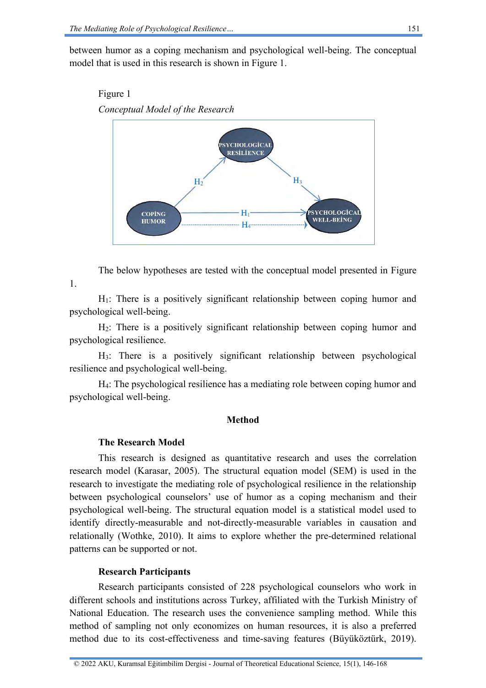between humor as a coping mechanism and psychological well-being. The conceptual model that is used in this research is shown in Figure 1.





The below hypotheses are tested with the conceptual model presented in Figure 1.

H1: There is a positively significant relationship between coping humor and psychological well-being.

 $H<sub>2</sub>$ : There is a positively significant relationship between coping humor and psychological resilience.

H3: There is a positively significant relationship between psychological resilience and psychological well-being.

H4: The psychological resilience has a mediating role between coping humor and psychological well-being.

### **Method**

# **The Research Model**

This research is designed as quantitative research and uses the correlation research model (Karasar, 2005). The structural equation model (SEM) is used in the research to investigate the mediating role of psychological resilience in the relationship between psychological counselors' use of humor as a coping mechanism and their psychological well-being. The structural equation model is a statistical model used to identify directly-measurable and not-directly-measurable variables in causation and relationally (Wothke, 2010). It aims to explore whether the pre-determined relational patterns can be supported or not.

# **Research Participants**

Research participants consisted of 228 psychological counselors who work in different schools and institutions across Turkey, affiliated with the Turkish Ministry of National Education. The research uses the convenience sampling method. While this method of sampling not only economizes on human resources, it is also a preferred method due to its cost-effectiveness and time-saving features (Büyüköztürk, 2019).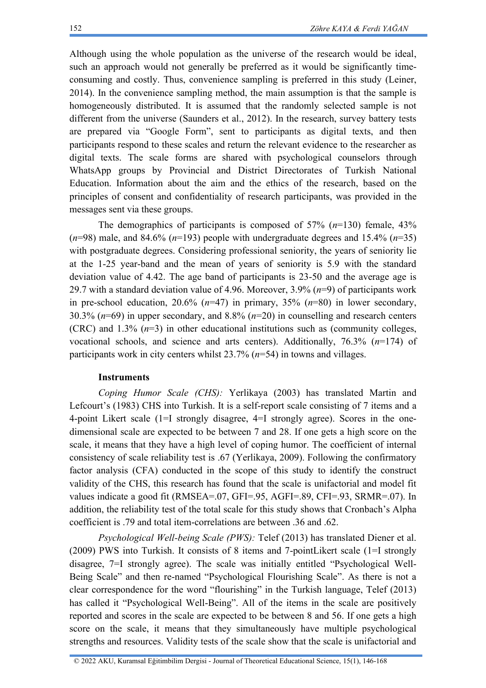Although using the whole population as the universe of the research would be ideal, such an approach would not generally be preferred as it would be significantly timeconsuming and costly. Thus, convenience sampling is preferred in this study (Leiner, 2014). In the convenience sampling method, the main assumption is that the sample is homogeneously distributed. It is assumed that the randomly selected sample is not different from the universe (Saunders et al., 2012). In the research, survey battery tests are prepared via "Google Form", sent to participants as digital texts, and then participants respond to these scales and return the relevant evidence to the researcher as digital texts. The scale forms are shared with psychological counselors through WhatsApp groups by Provincial and District Directorates of Turkish National Education. Information about the aim and the ethics of the research, based on the principles of consent and confidentiality of research participants, was provided in the messages sent via these groups.

The demographics of participants is composed of  $57\%$   $(n=130)$  female,  $43\%$ ( $n=98$ ) male, and 84.6% ( $n=193$ ) people with undergraduate degrees and 15.4% ( $n=35$ ) with postgraduate degrees. Considering professional seniority, the years of seniority lie at the 1-25 year-band and the mean of years of seniority is 5.9 with the standard deviation value of 4.42. The age band of participants is 23-50 and the average age is 29.7 with a standard deviation value of 4.96. Moreover, 3.9% (*n*=9) of participants work in pre-school education, 20.6% (*n*=47) in primary, 35% (*n*=80) in lower secondary, 30.3% (*n*=69) in upper secondary, and 8.8% (*n*=20) in counselling and research centers (CRC) and 1.3% (*n*=3) in other educational institutions such as (community colleges, vocational schools, and science and arts centers). Additionally, 76.3% (*n*=174) of participants work in city centers whilst 23.7% (*n*=54) in towns and villages.

#### **Instruments**

*Coping Humor Scale (CHS):* Yerlikaya (2003) has translated Martin and Lefcourt's (1983) CHS into Turkish. It is a self-report scale consisting of 7 items and a 4-point Likert scale (1=I strongly disagree, 4=I strongly agree). Scores in the onedimensional scale are expected to be between 7 and 28. If one gets a high score on the scale, it means that they have a high level of coping humor. The coefficient of internal consistency of scale reliability test is .67 (Yerlikaya, 2009). Following the confirmatory factor analysis (CFA) conducted in the scope of this study to identify the construct validity of the CHS, this research has found that the scale is unifactorial and model fit values indicate a good fit (RMSEA=.07, GFI=.95, AGFI=.89, CFI=.93, SRMR=.07). In addition, the reliability test of the total scale for this study shows that Cronbach's Alpha coefficient is .79 and total item-correlations are between .36 and .62.

*Psychological Well-being Scale (PWS):* Telef (2013) has translated Diener et al. (2009) PWS into Turkish. It consists of 8 items and 7-pointLikert scale (1=I strongly disagree, 7=I strongly agree). The scale was initially entitled "Psychological Well-Being Scale" and then re-named "Psychological Flourishing Scale". As there is not a clear correspondence for the word "flourishing" in the Turkish language, Telef (2013) has called it "Psychological Well-Being". All of the items in the scale are positively reported and scores in the scale are expected to be between 8 and 56. If one gets a high score on the scale, it means that they simultaneously have multiple psychological strengths and resources. Validity tests of the scale show that the scale is unifactorial and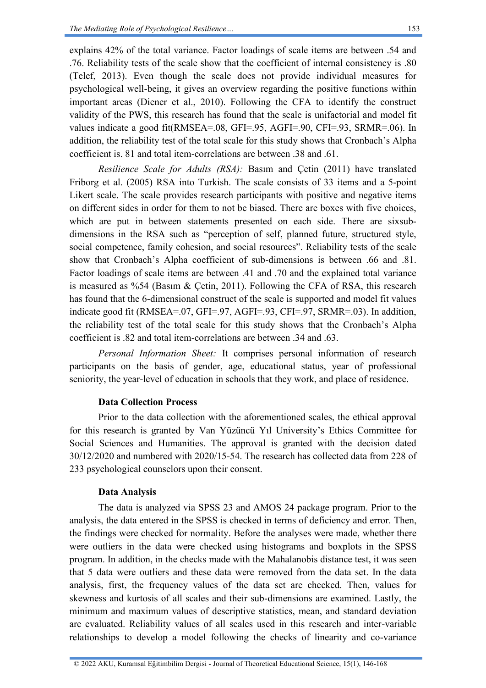explains 42% of the total variance. Factor loadings of scale items are between .54 and .76. Reliability tests of the scale show that the coefficient of internal consistency is .80 (Telef, 2013). Even though the scale does not provide individual measures for psychological well-being, it gives an overview regarding the positive functions within important areas (Diener et al., 2010). Following the CFA to identify the construct validity of the PWS, this research has found that the scale is unifactorial and model fit values indicate a good fit(RMSEA=.08, GFI=.95, AGFI=.90, CFI=.93, SRMR=.06). In addition, the reliability test of the total scale for this study shows that Cronbach's Alpha coefficient is. 81 and total item-correlations are between .38 and .61.

*Resilience Scale for Adults (RSA):* Basım and Çetin (2011) have translated Friborg et al. (2005) RSA into Turkish. The scale consists of 33 items and a 5-point Likert scale. The scale provides research participants with positive and negative items on different sides in order for them to not be biased. There are boxes with five choices, which are put in between statements presented on each side. There are sixsubdimensions in the RSA such as "perception of self, planned future, structured style, social competence, family cohesion, and social resources". Reliability tests of the scale show that Cronbach's Alpha coefficient of sub-dimensions is between .66 and .81. Factor loadings of scale items are between .41 and .70 and the explained total variance is measured as  $\frac{6}{54}$  (Basim & Cetin, 2011). Following the CFA of RSA, this research has found that the 6-dimensional construct of the scale is supported and model fit values indicate good fit (RMSEA=.07, GFI=.97, AGFI=.93, CFI=.97, SRMR=.03). In addition, the reliability test of the total scale for this study shows that the Cronbach's Alpha coefficient is .82 and total item-correlations are between .34 and .63.

*Personal Information Sheet:* It comprises personal information of research participants on the basis of gender, age, educational status, year of professional seniority, the year-level of education in schools that they work, and place of residence.

### **Data Collection Process**

Prior to the data collection with the aforementioned scales, the ethical approval for this research is granted by Van Yüzüncü Yıl University's Ethics Committee for Social Sciences and Humanities. The approval is granted with the decision dated 30/12/2020 and numbered with 2020/15-54. The research has collected data from 228 of 233 psychological counselors upon their consent.

# **Data Analysis**

The data is analyzed via SPSS 23 and AMOS 24 package program. Prior to the analysis, the data entered in the SPSS is checked in terms of deficiency and error. Then, the findings were checked for normality. Before the analyses were made, whether there were outliers in the data were checked using histograms and boxplots in the SPSS program. In addition, in the checks made with the Mahalanobis distance test, it was seen that 5 data were outliers and these data were removed from the data set. In the data analysis, first, the frequency values of the data set are checked. Then, values for skewness and kurtosis of all scales and their sub-dimensions are examined. Lastly, the minimum and maximum values of descriptive statistics, mean, and standard deviation are evaluated. Reliability values of all scales used in this research and inter-variable relationships to develop a model following the checks of linearity and co-variance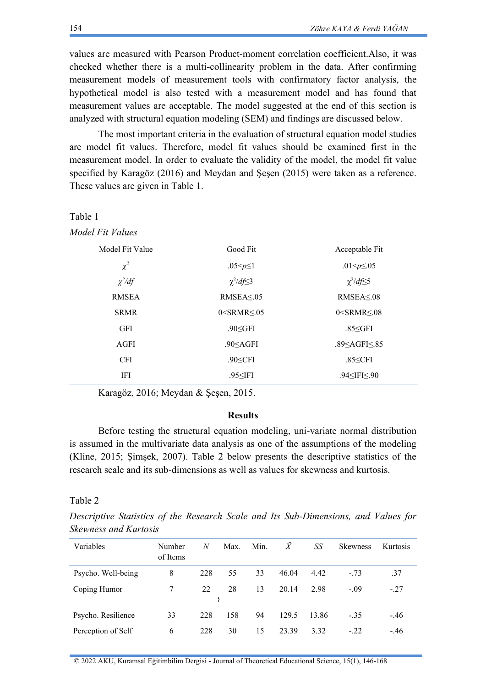values are measured with Pearson Product-moment correlation coefficient.Also, it was checked whether there is a multi-collinearity problem in the data. After confirming measurement models of measurement tools with confirmatory factor analysis, the hypothetical model is also tested with a measurement model and has found that measurement values are acceptable. The model suggested at the end of this section is analyzed with structural equation modeling (SEM) and findings are discussed below.

The most important criteria in the evaluation of structural equation model studies are model fit values. Therefore, model fit values should be examined first in the measurement model. In order to evaluate the validity of the model, the model fit value specified by Karagöz (2016) and Meydan and Şeşen (2015) were taken as a reference. These values are given in Table 1.

| Model Fit Values |  |
|------------------|--|
|                  |  |

Table 1

| Model Fit Value | Good Fit           | Acceptable Fit     |
|-----------------|--------------------|--------------------|
| $\chi^2$        | .05 $-p \leq 1$    | .01< $p \le 0.05$  |
| $\chi^2/df$     | $\chi^2/df \leq 3$ | $\chi^2/df \leq 5$ |
| <b>RMSEA</b>    | RMSEA < 05         | RMSEA < 08         |
| <b>SRMR</b>     | $0$ < SRMR < $05$  | $0$ < SRMR < $08$  |
| <b>GFI</b>      | $.90<$ GFI         | $.85<$ GFI         |
| AGFI            | $.90<$ AGFI        | .89 < AGF < 85     |
| <b>CFI</b>      | $.90<$ CFI         | $.85 \leq CFI$     |
| IFI             | $.95<$ IFI         | $.94<$ IFI $< 90$  |
|                 |                    |                    |

Karagöz, 2016; Meydan & Şeşen, 2015.

# **Results**

Before testing the structural equation modeling, uni-variate normal distribution is assumed in the multivariate data analysis as one of the assumptions of the modeling (Kline, 2015; Şimşek, 2007). Table 2 below presents the descriptive statistics of the research scale and its sub-dimensions as well as values for skewness and kurtosis.

#### Table 2

*Descriptive Statistics of the Research Scale and Its Sub-Dimensions, and Values for Skewness and Kurtosis*

| Variables          | Number<br>of Items | N   | Max. | Min. | $\dot{X}$ | SS    | <b>Skewness</b> | Kurtosis |
|--------------------|--------------------|-----|------|------|-----------|-------|-----------------|----------|
| Psycho. Well-being | 8                  | 228 | 55   | 33   | 46.04     | 4.42  | $-.73$          | .37      |
| Coping Humor       |                    | 22  | 28   | 13   | 20.14     | 2.98  | $-.09$          | $-27$    |
|                    |                    |     |      |      |           |       |                 |          |
| Psycho. Resilience | 33                 | 228 | 158  | 94   | 129.5     | 13.86 | $-35$           | $-.46$   |
| Perception of Self | 6                  | 228 | 30   | 15   | 23.39     | 3.32  | $-.22$          | $-.46$   |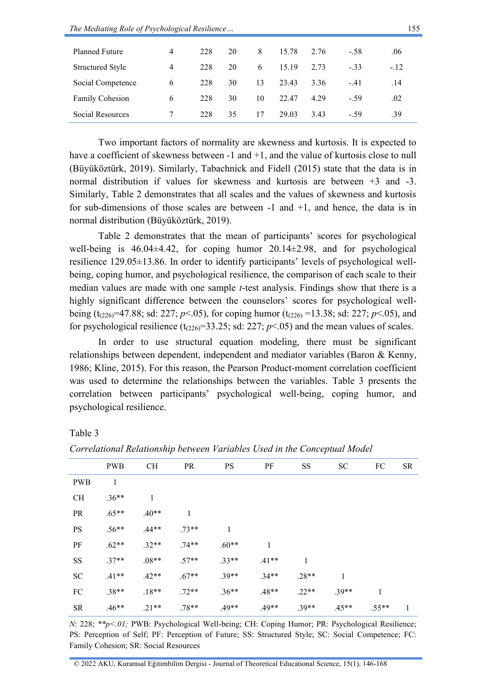| <b>Planned Future</b>   | 4 | 228 | 20 | 8  | 15.78 | 2.76 | $-.58$ | .06   |
|-------------------------|---|-----|----|----|-------|------|--------|-------|
| <b>Structured Style</b> | 4 | 228 | 20 | 6  | 15.19 | 2.73 | $-33$  | $-12$ |
| Social Competence       | 6 | 228 | 30 | 13 | 23.43 | 3.36 | $-41$  | .14   |
| <b>Family Cohesion</b>  | 6 | 228 | 30 | 10 | 22.47 | 4.29 | $-59$  | .02   |
| Social Resources        |   | 228 | 35 | 17 | 29.03 | 3.43 | - 59   | .39   |
|                         |   |     |    |    |       |      |        |       |

Two important factors of normality are skewness and kurtosis. It is expected to have a coefficient of skewness between -1 and +1, and the value of kurtosis close to null (Büyüköztürk, 2019). Similarly, Tabachnick and Fidell (2015) state that the data is in normal distribution if values for skewness and kurtosis are between +3 and -3. Similarly, Table 2 demonstrates that all scales and the values of skewness and kurtosis for sub-dimensions of those scales are between  $-1$  and  $+1$ , and hence, the data is in normal distribution (Büyüköztürk, 2019).

Table 2 demonstrates that the mean of participants' scores for psychological well-being is 46.04±4.42, for coping humor 20.14±2.98, and for psychological resilience 129.05±13.86. In order to identify participants' levels of psychological wellbeing, coping humor, and psychological resilience, the comparison of each scale to their median values are made with one sample *t*-test analysis. Findings show that there is a highly significant difference between the counselors' scores for psychological wellbeing (t<sub>(226)</sub>=47.88; sd: 227; *p*<.05), for coping humor (t<sub>(226)</sub> =13.38; sd: 227; *p*<.05), and for psychological resilience  $(t_{(226)}=33.25$ ; sd: 227;  $p<.05$ ) and the mean values of scales.

In order to use structural equation modeling, there must be significant relationships between dependent, independent and mediator variables (Baron & Kenny, 1986; Kline, 2015). For this reason, the Pearson Product-moment correlation coefficient was used to determine the relationships between the variables. Table 3 presents the correlation between participants' psychological well-being, coping humor, and psychological resilience.

#### Table 3

PWB CH PR PS PF SS SC FC SR PWB 1 CH .36<sup>\*\*</sup> 1 PR .65\*\* .40\*\* 1 PS .56\*\* .44\*\* .73\*\* 1 PF .62\*\* .32\*\* .74\*\* .60\*\* 1 SS .37\*\* .08\*\* .57\*\* .33\*\* .41\*\* 1 SC .41\*\* .42\*\* .67\*\* .39\*\* .34\*\* .28\*\* 1 FC  $.38^{**}$   $.18^{**}$   $.72^{**}$   $.36^{**}$   $.48^{**}$   $.22^{**}$   $.39^{**}$  1 SR .46\*\* .21\*\* .78\*\* .49\*\* .49\*\* .39\*\* .45\*\* .55\*\* 1

*Correlational Relationship between Variables Used in the Conceptual Model*

*N*: 228; *\*\*p<.01;* PWB: Psychological Well-being; CH: Coping Humor; PR: Psychological Resilience; PS: Perception of Self; PF: Perception of Future; SS: Structured Style; SC: Social Competence; FC: Family Cohesion; SR: Social Resources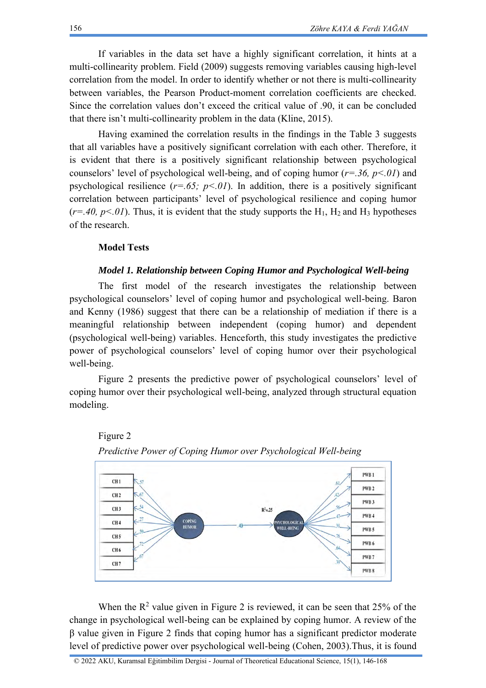If variables in the data set have a highly significant correlation, it hints at a multi-collinearity problem. Field (2009) suggests removing variables causing high-level correlation from the model. In order to identify whether or not there is multi-collinearity between variables, the Pearson Product-moment correlation coefficients are checked. Since the correlation values don't exceed the critical value of .90, it can be concluded that there isn't multi-collinearity problem in the data (Kline, 2015).

Having examined the correlation results in the findings in the Table 3 suggests that all variables have a positively significant correlation with each other. Therefore, it is evident that there is a positively significant relationship between psychological counselors' level of psychological well-being, and of coping humor (*r=.36, p<.01*) and psychological resilience  $(r=.65; p<.01)$ . In addition, there is a positively significant correlation between participants' level of psychological resilience and coping humor  $(r=.40, p<.01)$ . Thus, it is evident that the study supports the H<sub>1</sub>, H<sub>2</sub> and H<sub>3</sub> hypotheses of the research.

### **Model Tests**

#### *Model 1. Relationship between Coping Humor and Psychological Well-being*

The first model of the research investigates the relationship between psychological counselors' level of coping humor and psychological well-being. Baron and Kenny (1986) suggest that there can be a relationship of mediation if there is a meaningful relationship between independent (coping humor) and dependent (psychological well-being) variables. Henceforth, this study investigates the predictive power of psychological counselors' level of coping humor over their psychological well-being.

Figure 2 presents the predictive power of psychological counselors' level of coping humor over their psychological well-being, analyzed through structural equation modeling.





When the  $R^2$  value given in Figure 2 is reviewed, it can be seen that 25% of the change in psychological well-being can be explained by coping humor. A review of the β value given in Figure 2 finds that coping humor has a significant predictor moderate level of predictive power over psychological well-being (Cohen, 2003).Thus, it is found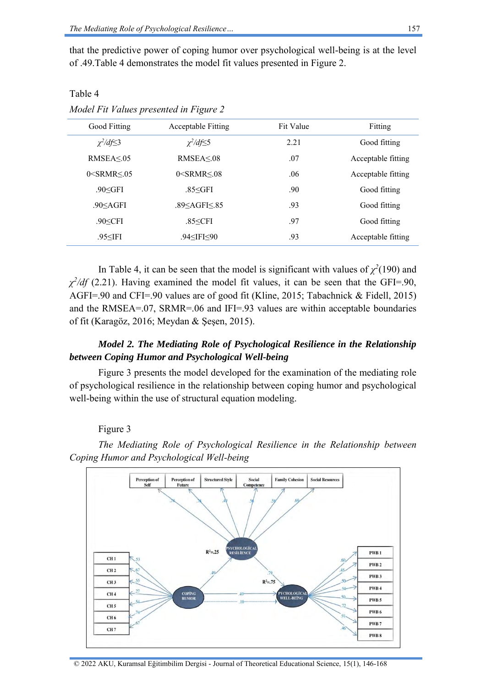Table 4

that the predictive power of coping humor over psychological well-being is at the level of .49.Table 4 demonstrates the model fit values presented in Figure 2.

| Good Fitting                      | <b>Acceptable Fitting</b>                                          | Fit Value | Fitting            |
|-----------------------------------|--------------------------------------------------------------------|-----------|--------------------|
| $\chi^2/df \leq 3$                | $\chi^2/df \leq 5$                                                 | 2.21      | Good fitting       |
| RMSEA < 05                        | RMSEA < 08                                                         | .07       | Acceptable fitting |
| $0$ <srmr <="" <math="">05</srmr> | $0$ < SRMR < $08$                                                  | .06       | Acceptable fitting |
| $.90<$ GFI                        | $.85<$ GFI                                                         | .90       | Good fitting       |
| $.90<$ AGFI                       | .89 <agfi<.85< td=""><td>.93</td><td>Good fitting</td></agfi<.85<> | .93       | Good fitting       |
| $.90<$ CFI                        | $.85 <$ CFI                                                        | .97       | Good fitting       |
| $.95<$ IFI                        | .94≤IFI≤90                                                         | .93       | Acceptable fitting |

*Model Fit Values presented in Figure 2*

In Table 4, it can be seen that the model is significant with values of  $\chi^2(190)$  and  $\chi^2$ /df<sup></sup> (2.21). Having examined the model fit values, it can be seen that the GFI=.90, AGFI=.90 and CFI=.90 values are of good fit (Kline, 2015; Tabachnick & Fidell, 2015) and the RMSEA=.07, SRMR=.06 and IFI=.93 values are within acceptable boundaries of fit (Karagöz, 2016; Meydan & Şeşen, 2015).

# *Model 2. The Mediating Role of Psychological Resilience in the Relationship between Coping Humor and Psychological Well-being*

Figure 3 presents the model developed for the examination of the mediating role of psychological resilience in the relationship between coping humor and psychological well-being within the use of structural equation modeling.

### Figure 3



*The Mediating Role of Psychological Resilience in the Relationship between Coping Humor and Psychological Well-being*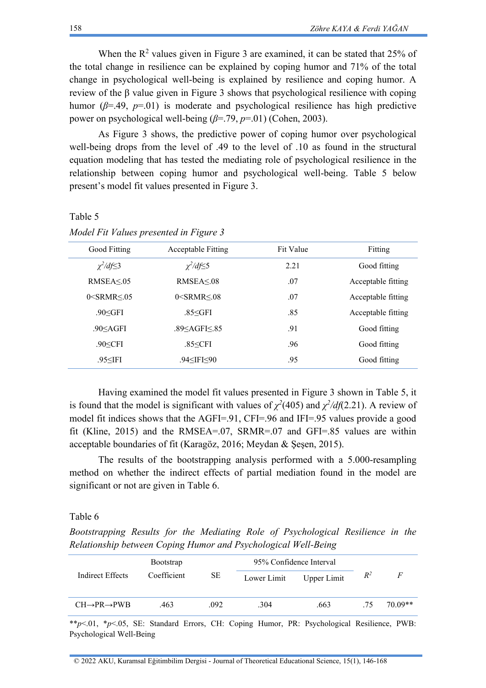When the  $R<sup>2</sup>$  values given in Figure 3 are examined, it can be stated that 25% of the total change in resilience can be explained by coping humor and 71% of the total change in psychological well-being is explained by resilience and coping humor. A review of the β value given in Figure 3 shows that psychological resilience with coping humor ( $\beta$ =.49,  $p$ =.01) is moderate and psychological resilience has high predictive power on psychological well-being (*β*=.79, *p*=.01) (Cohen, 2003).

As Figure 3 shows, the predictive power of coping humor over psychological well-being drops from the level of .49 to the level of .10 as found in the structural equation modeling that has tested the mediating role of psychological resilience in the relationship between coping humor and psychological well-being. Table 5 below present's model fit values presented in Figure 3.

### Table 5

| Good Fitting                                                                                                | <b>Acceptable Fitting</b>                                | <b>Fit Value</b> | Fitting            |
|-------------------------------------------------------------------------------------------------------------|----------------------------------------------------------|------------------|--------------------|
| $\chi^2/df \leq 3$                                                                                          | $\chi^2/df \leq 5$                                       | 2.21             | Good fitting       |
| RMSEA < 0.5                                                                                                 | RMSEA < 08                                               | .07              | Acceptable fitting |
| $0 <$ SRMR $\leq 0.05$                                                                                      | $0$ <srmr <="" <math="">08</srmr>                        | .07              | Acceptable fitting |
| $.90<$ GFI                                                                                                  | $.85<$ GFI                                               | .85              | Acceptable fitting |
| .90 <agfi< td=""><td>.89 &lt; AGF &lt; 85</td><td>.91</td><td>Good fitting</td></agfi<>                     | .89 < AGF < 85                                           | .91              | Good fitting       |
| $.90<$ CFI                                                                                                  | .85 <cfi< td=""><td>.96</td><td>Good fitting</td></cfi<> | .96              | Good fitting       |
| .95 <ifi< td=""><td><math>.94&lt;</math>IFI<math>&lt;</math>90</td><td>.95</td><td>Good fitting</td></ifi<> | $.94<$ IFI $<$ 90                                        | .95              | Good fitting       |
|                                                                                                             |                                                          |                  |                    |

*Model Fit Values presented in Figure 3*

Having examined the model fit values presented in Figure 3 shown in Table 5, it is found that the model is significant with values of  $\chi^2$ (405) and  $\chi^2$ /*df*(2.21). A review of model fit indices shows that the AGFI=.91, CFI=.96 and IFI=.95 values provide a good fit (Kline, 2015) and the RMSEA=.07, SRMR=.07 and GFI=.85 values are within acceptable boundaries of fit (Karagöz, 2016; Meydan & Şeşen, 2015).

The results of the bootstrapping analysis performed with a 5.000-resampling method on whether the indirect effects of partial mediation found in the model are significant or not are given in Table 6.

#### Table 6

*Bootstrapping Results for the Mediating Role of Psychological Resilience in the Relationship between Coping Humor and Psychological Well-Being*

|                                   | <b>Bootstrap</b> |      | 95% Confidence Interval |                    |       |         |
|-----------------------------------|------------------|------|-------------------------|--------------------|-------|---------|
| Indirect Effects                  | Coefficient      | SЕ   | Lower Limit             | <b>Upper Limit</b> | $R^2$ | F       |
| $CH\rightarrow PR\rightarrow PWB$ | 463              | .092 | .304                    | .663               | 75    | 70.09** |

\*\**p*<.01, \**p*<.05, SE: Standard Errors, CH: Coping Humor, PR: Psychological Resilience, PWB: Psychological Well-Being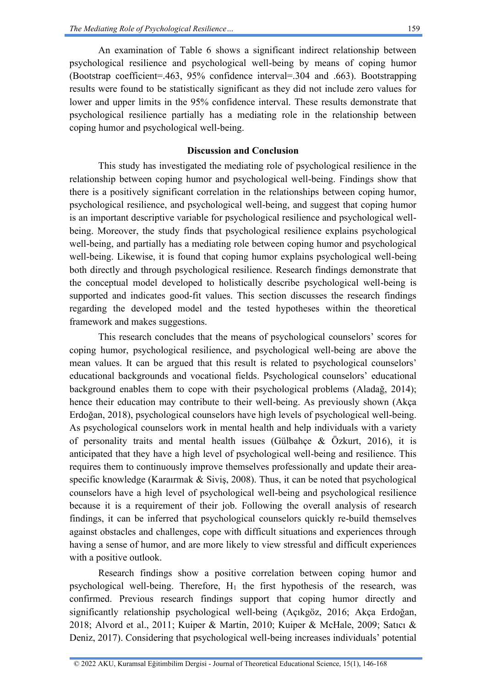coping humor and psychological well-being.

An examination of Table 6 shows a significant indirect relationship between psychological resilience and psychological well-being by means of coping humor (Bootstrap coefficient=.463, 95% confidence interval=.304 and .663). Bootstrapping results were found to be statistically significant as they did not include zero values for lower and upper limits in the 95% confidence interval. These results demonstrate that

## **Discussion and Conclusion**

psychological resilience partially has a mediating role in the relationship between

This study has investigated the mediating role of psychological resilience in the relationship between coping humor and psychological well-being. Findings show that there is a positively significant correlation in the relationships between coping humor, psychological resilience, and psychological well-being, and suggest that coping humor is an important descriptive variable for psychological resilience and psychological wellbeing. Moreover, the study finds that psychological resilience explains psychological well-being, and partially has a mediating role between coping humor and psychological well-being. Likewise, it is found that coping humor explains psychological well-being both directly and through psychological resilience. Research findings demonstrate that the conceptual model developed to holistically describe psychological well-being is supported and indicates good-fit values. This section discusses the research findings regarding the developed model and the tested hypotheses within the theoretical framework and makes suggestions.

This research concludes that the means of psychological counselors' scores for coping humor, psychological resilience, and psychological well-being are above the mean values. It can be argued that this result is related to psychological counselors' educational backgrounds and vocational fields. Psychological counselors' educational background enables them to cope with their psychological problems (Aladağ, 2014); hence their education may contribute to their well-being. As previously shown (Akça Erdoğan, 2018), psychological counselors have high levels of psychological well-being. As psychological counselors work in mental health and help individuals with a variety of personality traits and mental health issues (Gülbahçe & Özkurt, 2016), it is anticipated that they have a high level of psychological well-being and resilience. This requires them to continuously improve themselves professionally and update their areaspecific knowledge (Karaırmak & Siviş, 2008). Thus, it can be noted that psychological counselors have a high level of psychological well-being and psychological resilience because it is a requirement of their job. Following the overall analysis of research findings, it can be inferred that psychological counselors quickly re-build themselves against obstacles and challenges, cope with difficult situations and experiences through having a sense of humor, and are more likely to view stressful and difficult experiences with a positive outlook.

Research findings show a positive correlation between coping humor and psychological well-being. Therefore,  $H_1$  the first hypothesis of the research, was confirmed. Previous research findings support that coping humor directly and significantly relationship psychological well-being (Açıkgöz, 2016; Akça Erdoğan, 2018; Alvord et al., 2011; Kuiper & Martin, 2010; Kuiper & McHale, 2009; Satıcı & Deniz, 2017). Considering that psychological well-being increases individuals' potential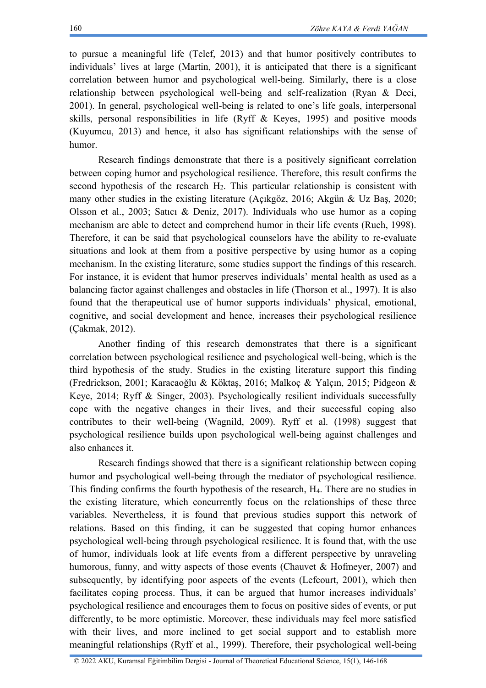to pursue a meaningful life (Telef, 2013) and that humor positively contributes to individuals' lives at large (Martin, 2001), it is anticipated that there is a significant correlation between humor and psychological well-being. Similarly, there is a close relationship between psychological well-being and self-realization (Ryan & Deci, 2001). In general, psychological well-being is related to one's life goals, interpersonal skills, personal responsibilities in life (Ryff & Keyes, 1995) and positive moods (Kuyumcu, 2013) and hence, it also has significant relationships with the sense of humor.

Research findings demonstrate that there is a positively significant correlation between coping humor and psychological resilience. Therefore, this result confirms the second hypothesis of the research  $H_2$ . This particular relationship is consistent with many other studies in the existing literature (Açıkgöz, 2016; Akgün & Uz Baş, 2020; Olsson et al., 2003; Satıcı & Deniz, 2017). Individuals who use humor as a coping mechanism are able to detect and comprehend humor in their life events (Ruch, 1998). Therefore, it can be said that psychological counselors have the ability to re-evaluate situations and look at them from a positive perspective by using humor as a coping mechanism. In the existing literature, some studies support the findings of this research. For instance, it is evident that humor preserves individuals' mental health as used as a balancing factor against challenges and obstacles in life (Thorson et al., 1997). It is also found that the therapeutical use of humor supports individuals' physical, emotional, cognitive, and social development and hence, increases their psychological resilience (Çakmak, 2012).

Another finding of this research demonstrates that there is a significant correlation between psychological resilience and psychological well-being, which is the third hypothesis of the study. Studies in the existing literature support this finding (Fredrickson, 2001; Karacaoğlu & Köktaş, 2016; Malkoç & Yalçın, 2015; Pidgeon & Keye, 2014; Ryff & Singer, 2003). Psychologically resilient individuals successfully cope with the negative changes in their lives, and their successful coping also contributes to their well-being (Wagnild, 2009). Ryff et al. (1998) suggest that psychological resilience builds upon psychological well-being against challenges and also enhances it.

Research findings showed that there is a significant relationship between coping humor and psychological well-being through the mediator of psychological resilience. This finding confirms the fourth hypothesis of the research, H4. There are no studies in the existing literature, which concurrently focus on the relationships of these three variables. Nevertheless, it is found that previous studies support this network of relations. Based on this finding, it can be suggested that coping humor enhances psychological well-being through psychological resilience. It is found that, with the use of humor, individuals look at life events from a different perspective by unraveling humorous, funny, and witty aspects of those events (Chauvet & Hofmeyer, 2007) and subsequently, by identifying poor aspects of the events (Lefcourt, 2001), which then facilitates coping process. Thus, it can be argued that humor increases individuals' psychological resilience and encourages them to focus on positive sides of events, or put differently, to be more optimistic. Moreover, these individuals may feel more satisfied with their lives, and more inclined to get social support and to establish more meaningful relationships (Ryff et al., 1999). Therefore, their psychological well-being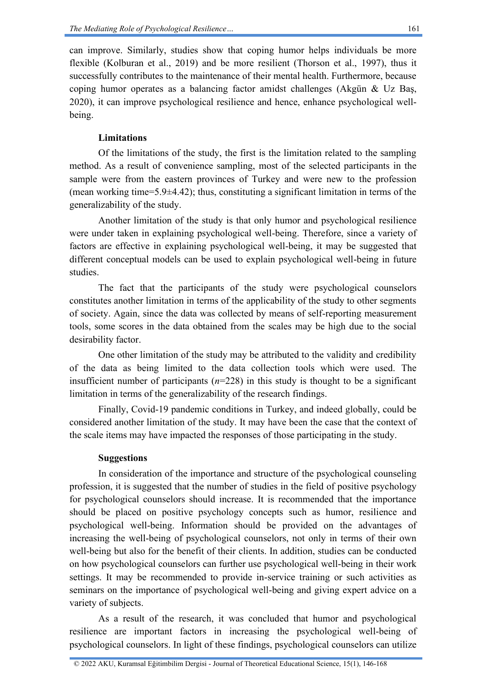can improve. Similarly, studies show that coping humor helps individuals be more flexible (Kolburan et al., 2019) and be more resilient (Thorson et al., 1997), thus it successfully contributes to the maintenance of their mental health. Furthermore, because coping humor operates as a balancing factor amidst challenges (Akgün & Uz Baş, 2020), it can improve psychological resilience and hence, enhance psychological wellbeing.

### **Limitations**

Of the limitations of the study, the first is the limitation related to the sampling method. As a result of convenience sampling, most of the selected participants in the sample were from the eastern provinces of Turkey and were new to the profession (mean working time=5.9 $\pm$ 4.42); thus, constituting a significant limitation in terms of the generalizability of the study.

Another limitation of the study is that only humor and psychological resilience were under taken in explaining psychological well-being. Therefore, since a variety of factors are effective in explaining psychological well-being, it may be suggested that different conceptual models can be used to explain psychological well-being in future studies.

The fact that the participants of the study were psychological counselors constitutes another limitation in terms of the applicability of the study to other segments of society. Again, since the data was collected by means of self-reporting measurement tools, some scores in the data obtained from the scales may be high due to the social desirability factor.

One other limitation of the study may be attributed to the validity and credibility of the data as being limited to the data collection tools which were used. The insufficient number of participants  $(n=228)$  in this study is thought to be a significant limitation in terms of the generalizability of the research findings.

Finally, Covid-19 pandemic conditions in Turkey, and indeed globally, could be considered another limitation of the study. It may have been the case that the context of the scale items may have impacted the responses of those participating in the study.

#### **Suggestions**

In consideration of the importance and structure of the psychological counseling profession, it is suggested that the number of studies in the field of positive psychology for psychological counselors should increase. It is recommended that the importance should be placed on positive psychology concepts such as humor, resilience and psychological well-being. Information should be provided on the advantages of increasing the well-being of psychological counselors, not only in terms of their own well-being but also for the benefit of their clients. In addition, studies can be conducted on how psychological counselors can further use psychological well-being in their work settings. It may be recommended to provide in-service training or such activities as seminars on the importance of psychological well-being and giving expert advice on a variety of subjects.

As a result of the research, it was concluded that humor and psychological resilience are important factors in increasing the psychological well-being of psychological counselors. In light of these findings, psychological counselors can utilize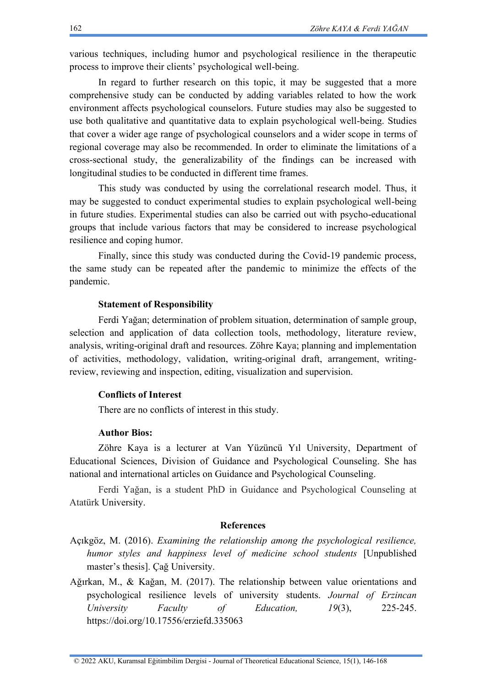various techniques, including humor and psychological resilience in the therapeutic process to improve their clients' psychological well-being.

In regard to further research on this topic, it may be suggested that a more comprehensive study can be conducted by adding variables related to how the work environment affects psychological counselors. Future studies may also be suggested to use both qualitative and quantitative data to explain psychological well-being. Studies that cover a wider age range of psychological counselors and a wider scope in terms of regional coverage may also be recommended. In order to eliminate the limitations of a cross-sectional study, the generalizability of the findings can be increased with longitudinal studies to be conducted in different time frames.

This study was conducted by using the correlational research model. Thus, it may be suggested to conduct experimental studies to explain psychological well-being in future studies. Experimental studies can also be carried out with psycho-educational groups that include various factors that may be considered to increase psychological resilience and coping humor.

Finally, since this study was conducted during the Covid-19 pandemic process, the same study can be repeated after the pandemic to minimize the effects of the pandemic.

#### **Statement of Responsibility**

Ferdi Yağan; determination of problem situation, determination of sample group, selection and application of data collection tools, methodology, literature review, analysis, writing-original draft and resources. Zöhre Kaya; planning and implementation of activities, methodology, validation, writing-original draft, arrangement, writingreview, reviewing and inspection, editing, visualization and supervision.

#### **Conflicts of Interest**

There are no conflicts of interest in this study.

#### **Author Bios:**

Zöhre Kaya is a lecturer at Van Yüzüncü Yıl University, Department of Educational Sciences, Division of Guidance and Psychological Counseling. She has national and international articles on Guidance and Psychological Counseling.

Ferdi Yağan, is a student PhD in Guidance and Psychological Counseling at Atatürk University.

#### **References**

- Açıkgöz, M. (2016). *Examining the relationship among the psychological resilience, humor styles and happiness level of medicine school students* [Unpublished master's thesis]. Çağ University.
- Ağırkan, M., & Kağan, M. (2017). The relationship between value orientations and psychological resilience levels of university students. *Journal of Erzincan University Faculty of Education, 19*(3), 225-245. <https://doi.org/10.17556/erziefd.335063>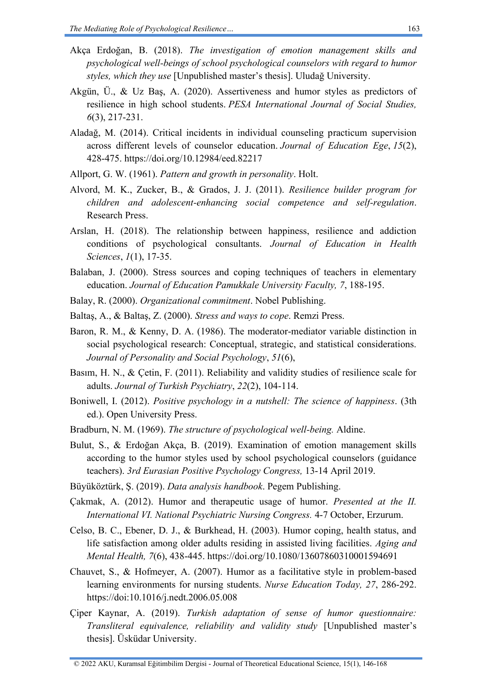- Akça Erdoğan, B. (2018). *The investigation of emotion management skills and psychological well-beings of school psychological counselors with regard to humor styles, which they use* [Unpublished master's thesis]. Uludağ University.
- Akgün, Ü., & Uz Baş, A. (2020). Assertiveness and humor styles as predictors of resilience in high school students. *PESA International Journal of Social Studies, 6*(3), 217-231.
- Aladağ, M. (2014). Critical incidents in individual counseling practicum supervision across different levels of counselor education. *Journal of Education Ege*, *15*(2), 428-475.<https://doi.org/10.12984/eed.82217>
- Allport, G. W. (1961). *Pattern and growth in personality*. Holt.
- Alvord, M. K., Zucker, B., & Grados, J. J. (2011). *Resilience builder program for children and adolescent-enhancing social competence and self-regulation*. Research Press.
- Arslan, H. (2018). The relationship between happiness, resilience and addiction conditions of psychological consultants. *Journal of Education in Health Sciences*, *1*(1), 17-35.
- Balaban, J. (2000). Stress sources and coping techniques of teachers in elementary education. *Journal of Education Pamukkale University Faculty, 7*, 188-195.
- Balay, R. (2000). *Organizational commitment*. Nobel Publishing.
- Baltaş, A., & Baltaş, Z. (2000). *Stress and ways to cope*. Remzi Press.
- Baron, R. M., & Kenny, D. A. (1986). The moderator-mediator variable distinction in social psychological research: Conceptual, strategic, and statistical considerations. *Journal of Personality and Social Psychology*, *51*(6),
- Basım, H. N., & Çetin, F. (2011). Reliability and validity studies of resilience scale for adults. *Journal of Turkish Psychiatry*, *22*(2), 104-114.
- Boniwell, I. (2012). *Positive psychology in a nutshell: The science of happiness*. (3th ed.). Open University Press.
- Bradburn, N. M. (1969). *The structure of psychological well-being.* Aldine.
- Bulut, S., & Erdoğan Akça, B. (2019). Examination of emotion management skills according to the humor styles used by school psychological counselors (guidance teachers). *3rd Eurasian Positive Psychology Congress,* 13-14 April 2019.
- Büyüköztürk, Ş. (2019). *Data analysis handbook*. Pegem Publishing.
- Çakmak, A. (2012). Humor and therapeutic usage of humor. *Presented at the II. International VI. National Psychiatric Nursing Congress.* 4-7 October, Erzurum.
- Celso, B. C., Ebener, D. J., & Burkhead, H. (2003). Humor coping, health status, and life satisfaction among older adults residing in assisted living facilities. *Aging and Mental Health, 7*(6), 438-445.<https://doi.org/10.1080/13607860310001594691>
- Chauvet, S., & Hofmeyer, A. (2007). Humor as a facilitative style in problem-based learning environments for nursing students. *Nurse Education Today, 27*, 286-292. <https://doi:10.1016/j.nedt.2006.05.008>
- Çiper Kaynar, A. (2019). *Turkish adaptation of sense of humor questionnaire: Transliteral equivalence, reliability and validity study* [Unpublished master's thesis]. Üsküdar University.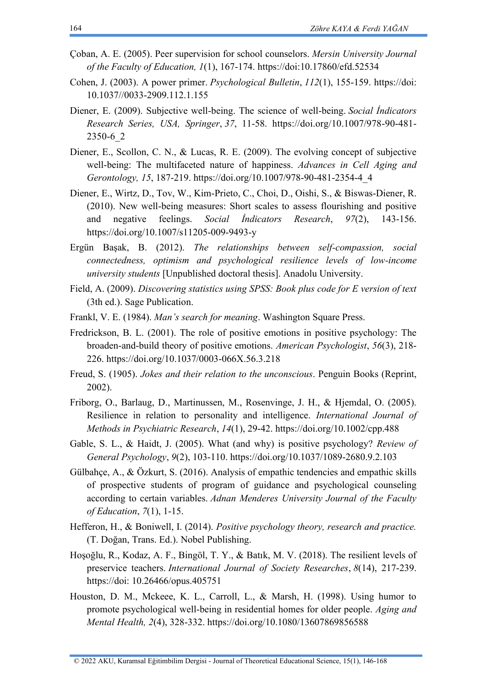- Çoban, A. E. (2005). Peer supervision for school counselors. *Mersin University Journal of the Faculty of Education, 1*(1), 167-174.<https://doi:10.17860/efd.52534>
- Cohen, J. (2003). A power primer. *Psychological Bulletin*, *112*(1), 155-159. [https://doi:](https://doi:%2010.1037/0033-2909.112.1.155)  [10.1037//0033-2909.112.1.155](https://doi:%2010.1037/0033-2909.112.1.155)
- Diener, E. (2009). Subjective well-being. The science of well-being. *Social İndicators Research Series, USA, Springer*, *37*, 11-58. [https://doi.org/10.1007/978-90-481-](https://doi.org/10.1007/978-90-481-2350-6_2) [2350-6\\_2](https://doi.org/10.1007/978-90-481-2350-6_2)
- Diener, E., Scollon, C. N., & Lucas, R. E. (2009). The evolving concept of subjective well-being: The multifaceted nature of happiness. *Advances in Cell Aging and Gerontology, 15*, 187-219. [https://doi.org/10.1007/978-90-481-2354-4\\_4](https://psycnet.apa.org/doi/10.1007/978-90-481-2354-4_4)
- Diener, E., Wirtz, D., Tov, W., Kim-Prieto, C., Choi, D., Oishi, S., & Biswas-Diener, R. (2010). New well-being measures: Short scales to assess flourishing and positive and negative feelings. *Social İndicators Research*, *97*(2), 143-156. <https://doi.org/10.1007/s11205-009-9493-y>
- Ergün Başak, B. (2012). *The relationships between self-compassion, social connectedness, optimism and psychological resilience levels of low-income university students* [Unpublished doctoral thesis]. Anadolu University.
- Field, A. (2009). *Discovering statistics using SPSS: Book plus code for E version of text* (3th ed.). Sage Publication.
- Frankl, V. E. (1984). *Man's search for meaning*. Washington Square Press.
- Fredrickson, B. L. (2001). The role of positive emotions in positive psychology: The broaden-and-build theory of positive emotions. *American Psychologist*, *56*(3), 218- 226. [https://doi.org/10.1037/0003-066X.56.3.218](https://psycnet.apa.org/doi/10.1037/0003-066X.56.3.218)
- Freud, S. (1905). *Jokes and their relation to the unconscious*. Penguin Books (Reprint, 2002).
- Friborg, O., Barlaug, D., Martinussen, M., Rosenvinge, J. H., & Hjemdal, O. (2005). Resilience in relation to personality and intelligence. *International Journal of Methods in Psychiatric Research*, *14*(1), 29-42.<https://doi.org/10.1002/cpp.488>
- Gable, S. L., & Haidt, J. (2005). What (and why) is positive psychology? *Review of General Psychology*, *9*(2), 103-110. [https://doi.org/10.1037/1089-2680.9.2.103](https://doi.org/10.1037%2F1089-2680.9.2.103)
- Gülbahçe, A., & Özkurt, S. (2016). Analysis of empathic tendencies and empathic skills of prospective students of program of guidance and psychological counseling according to certain variables. *Adnan Menderes University Journal of the Faculty of Education*, *7*(1), 1-15.
- Hefferon, H., & Boniwell, I. (2014). *Positive psychology theory, research and practice.*  (T. Doğan, Trans. Ed.). Nobel Publishing.
- Hoşoğlu, R., Kodaz, A. F., Bingöl, T. Y., & Batık, M. V. (2018). The resilient levels of preservice teachers. *International Journal of Society Researches*, *8*(14), 217-239. [https://doi: 10.26466/opus.405751](https://doi:%2010.26466/opus.405751)
- Houston, D. M., Mckeee, K. L., Carroll, L., & Marsh, H. (1998). Using humor to promote psychological well-being in residential homes for older people. *Aging and Mental Health, 2*(4), 328-332.<https://doi.org/10.1080/13607869856588>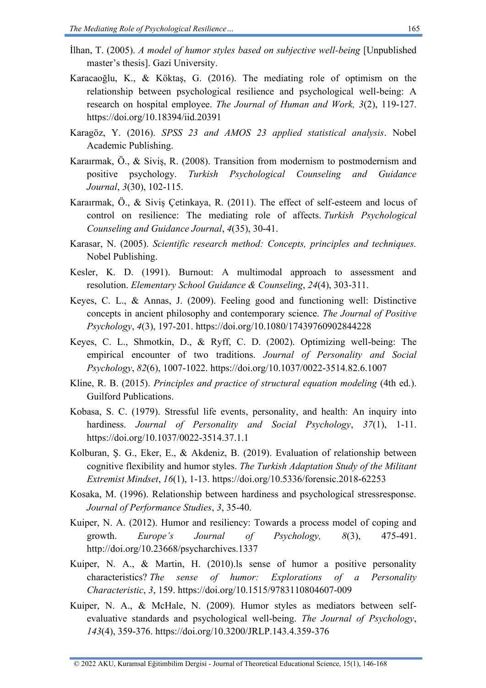- İlhan, T. (2005). *A model of humor styles based on subjective well-being* [Unpublished master's thesis]. Gazi University.
- Karacaoğlu, K., & Köktaş, G. (2016). The mediating role of optimism on the relationship between psychological resilience and psychological well-being: A research on hospital employee. *The Journal of Human and Work, 3*(2), 119-127. <https://doi.org/10.18394/iid.20391>
- Karagöz, Y. (2016). *SPSS 23 and AMOS 23 applied statistical analysis*. Nobel Academic Publishing.
- Karaırmak, Ö., & Siviş, R. (2008). Transition from modernism to postmodernism and positive psychology. *Turkish Psychological Counseling and Guidance Journal*, *3*(30), 102-115.
- Karaırmak, Ö., & Siviş Çetinkaya, R. (2011). The effect of self-esteem and locus of control on resilience: The mediating role of affects. *Turkish Psychological Counseling and Guidance Journal*, *4*(35), 30-41.
- Karasar, N. (2005). *Scientific research method: Concepts, principles and techniques.*  Nobel Publishing.
- Kesler, K. D. (1991). Burnout: A multimodal approach to assessment and resolution. *Elementary School Guidance & Counseling*, *24*(4), 303-311.
- Keyes, C. L., & Annas, J. (2009). Feeling good and functioning well: Distinctive concepts in ancient philosophy and contemporary science. *The Journal of Positive Psychology*, *4*(3), 197-201.<https://doi.org/10.1080/17439760902844228>
- Keyes, C. L., Shmotkin, D., & Ryff, C. D. (2002). Optimizing well-being: The empirical encounter of two traditions. *Journal of Personality and Social Psychology*, *82*(6), 1007-1022.<https://doi.org/10.1037/0022-3514.82.6.1007>
- Kline, R. B. (2015). *Principles and practice of structural equation modeling* (4th ed.). Guilford Publications.
- Kobasa, S. C. (1979). Stressful life events, personality, and health: An inquiry into hardiness. *Journal of Personality and Social Psychology*, *37*(1), 1-11. <https://doi.org/10.1037/0022-3514.37.1.1>
- Kolburan, Ş. G., Eker, E., & Akdeniz, B. (2019). Evaluation of relationship between cognitive flexibility and humor styles. *The Turkish Adaptation Study of the Militant Extremist Mindset*, *16*(1), 1-13.<https://doi.org/10.5336/forensic.2018-62253>
- Kosaka, M. (1996). Relationship between hardiness and psychological stressresponse. *Journal of Performance Studies*, *3*, 35-40.
- Kuiper, N. A. (2012). Humor and resiliency: Towards a process model of coping and growth. *Europe's Journal of Psychology, 8*(3), 475-491. <http://doi.org/10.23668/psycharchives.1337>
- Kuiper, N. A., & Martin, H. (2010).ls sense of humor a positive personality characteristics? *The sense of humor: Explorations of a Personality Characteristic*, *3*, 159.<https://doi.org/10.1515/9783110804607-009>
- Kuiper, N. A., & McHale, N. (2009). Humor styles as mediators between selfevaluative standards and psychological well-being. *The Journal of Psychology*, *143*(4), 359-376.<https://doi.org/10.3200/JRLP.143.4.359-376>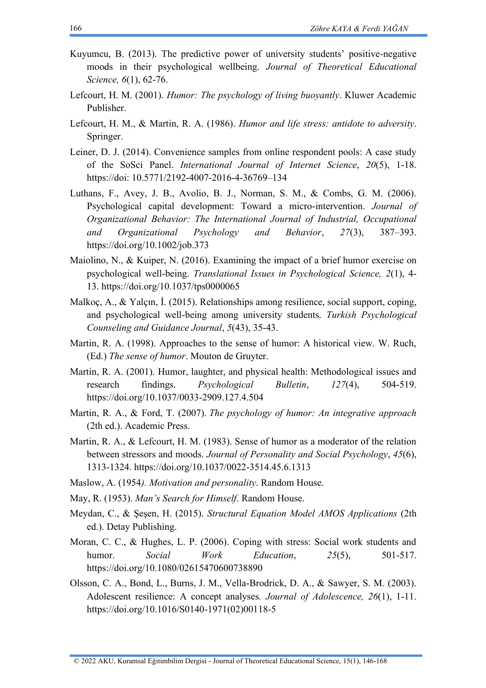- Kuyumcu, B. (2013). The predictive power of university students' positive-negative moods in their psychological wellbeing. *Journal of Theoretical Educational Science, 6*(1), 62-76.
- Lefcourt, H. M. (2001). *Humor: The psychology of living buoyantly*. Kluwer Academic Publisher.
- Lefcourt, H. M., & Martin, R. A. (1986). *Humor and life stress: antidote to adversity*. Springer.
- Leiner, D. J. (2014). Convenience samples from online respondent pools: A case study of the SoSci Panel. *International Journal of Internet Science*, *20*(5), 1-18. [https://doi: 10.5771/2192-4007-2016-4-36769–134](https://doi:%2010.5771/2192-4007-2016-4-36769–134)
- Luthans, F., Avey, J. B., Avolio, B. J., Norman, S. M., & Combs, G. M. (2006). Psychological capital development: Toward a micro-intervention. *Journal of Organizational Behavior: The International Journal of Industrial, Occupational and Organizational Psychology and Behavior*, *27*(3), 387–393. <https://doi.org/10.1002/job.373>
- Maiolino, N., & Kuiper, N. (2016). Examining the impact of a brief humor exercise on psychological well-being. *Translational Issues in Psychological Science, 2*(1), 4- 13.<https://doi.org/10.1037/tps0000065>
- Malkoç, A., & Yalçın, İ. (2015). Relationships among resilience, social support, coping, and psychological well-being among university students. *Turkish Psychological Counseling and Guidance Journal*, *5*(43), 35-43.
- Martin, R. A. (1998). Approaches to the sense of humor: A historical view. W. Ruch, (Ed.) *The sense of humor*. Mouton de Gruyter.
- Martin, R. A. (2001). Humor, laughter, and physical health: Methodological issues and research findings. *Psychological Bulletin*, *127*(4), 504-519. <https://doi.org/10.1037/0033-2909.127.4.504>
- Martin, R. A., & Ford, T. (2007). *The psychology of humor: An integrative approach* (2th ed.). Academic Press.
- Martin, R. A., & Lefcourt, H. M. (1983). Sense of humor as a moderator of the relation between stressors and moods. *Journal of Personality and Social Psychology*, *45*(6), 1313-1324.<https://doi.org/10.1037/0022-3514.45.6.1313>
- Maslow, A. (1954*). Motivation and personality*. Random House.
- May, R. (1953). *Man's Search for Himself*. Random House.
- Meydan, C., & Şeşen, H. (2015). *Structural Equation Model AMOS Applications* (2th ed.). Detay Publishing.
- Moran, C. C., & Hughes, L. P. (2006). Coping with stress: Social work students and humor. *Social Work Education*, *25*(5), 501-517. <https://doi.org/10.1080/02615470600738890>
- Olsson, C. A., Bond, L., Burns, J. M., Vella-Brodrick, D. A., & Sawyer, S. M. (2003). Adolescent resilience: A concept analyses*. Journal of Adolescence, 26*(1), 1-11. [https://doi.org/10.1016/S0140-1971\(02\)00118-5](https://doi.org/10.1016/S0140-1971(02)00118-5)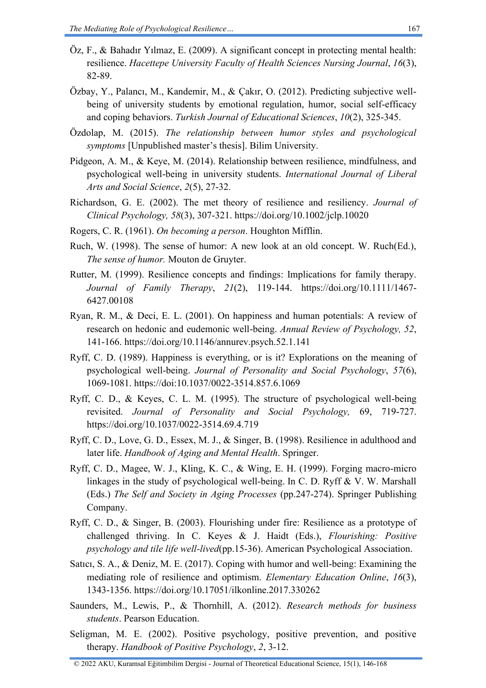- Öz, F., & Bahadır Yılmaz, E. (2009). A significant concept in protecting mental health: resilience. *Hacettepe University Faculty of Health Sciences Nursing Journal*, *16*(3), 82-89.
- Özbay, Y., Palancı, M., Kandemir, M., & Çakır, O. (2012). Predicting subjective wellbeing of university students by emotional regulation, humor, social self-efficacy and coping behaviors. *Turkish Journal of Educational Sciences*, *10*(2), 325-345.
- Özdolap, M. (2015). *The relationship between humor styles and psychological symptoms* [Unpublished master's thesis]. Bilim University.
- Pidgeon, A. M., & Keye, M. (2014). Relationship between resilience, mindfulness, and psychological well-being in university students. *International Journal of Liberal Arts and Social Science*, *2*(5), 27-32.
- Richardson, G. E. (2002). The met theory of resilience and resiliency. *Journal of Clinical Psychology, 58*(3), 307-321.<https://doi.org/10.1002/jclp.10020>
- Rogers, C. R. (1961). *On becoming a person*. Houghton Mifflin.
- Ruch, W. (1998). The sense of humor: A new look at an old concept. W. Ruch(Ed.), *The sense of humor.* Mouton de Gruyter.
- Rutter, M. (1999). Resilience concepts and findings: Implications for family therapy. *Journal of Family Therapy*, *21*(2), 119-144. [https://doi.org/10.1111/1467-](https://doi.org/10.1111/1467-6427.00108) [6427.00108](https://doi.org/10.1111/1467-6427.00108)
- Ryan, R. M., & Deci, E. L. (2001). On happiness and human potentials: A review of research on hedonic and eudemonic well-being. *Annual Review of Psychology, 52*, 141-166.<https://doi.org/10.1146/annurev.psych.52.1.141>
- Ryff, C. D. (1989). Happiness is everything, or is it? Explorations on the meaning of psychological well-being. *Journal of Personality and Social Psychology*, *57*(6), 1069-1081.<https://doi:10.1037/0022-3514.857.6.1069>
- Ryff, C. D., & Keyes, C. L. M. (1995). The structure of psychological well-being revisited. *Journal of Personality and Social Psychology,* 69, 719-727. <https://doi.org/10.1037/0022-3514.69.4.719>
- Ryff, C. D., Love, G. D., Essex, M. J., & Singer, B. (1998). Resilience in adulthood and later life. *Handbook of Aging and Mental Health*. Springer.
- Ryff, C. D., Magee, W. J., Kling, K. C., & Wing, E. H. (1999). Forging macro-micro linkages in the study of psychological well-being. In C. D. Ryff & V. W. Marshall (Eds.) *The Self and Society in Aging Processes* (pp.247-274). Springer Publishing Company.
- Ryff, C. D., & Singer, B. (2003). Flourishing under fire: Resilience as a prototype of challenged thriving. In C. Keyes & J. Haidt (Eds.), *Flourishing: Positive psychology and tile life well-lived*(pp.15-36). American Psychological Association.
- Satıcı, S. A., & Deniz, M. E. (2017). Coping with humor and well-being: Examining the mediating role of resilience and optimism. *Elementary Education Online*, *16*(3), 1343-1356.<https://doi.org/10.17051/ilkonline.2017.330262>
- Saunders, M., Lewis, P., & Thornhill, A. (2012). *Research methods for business students*. Pearson Education.
- Seligman, M. E. (2002). Positive psychology, positive prevention, and positive therapy. *Handbook of Positive Psychology*, *2*, 3-12.
- © 2022 AKU, Kuramsal Eğitimbilim Dergisi Journal of Theoretical Educational Science, 15(1), 146-168